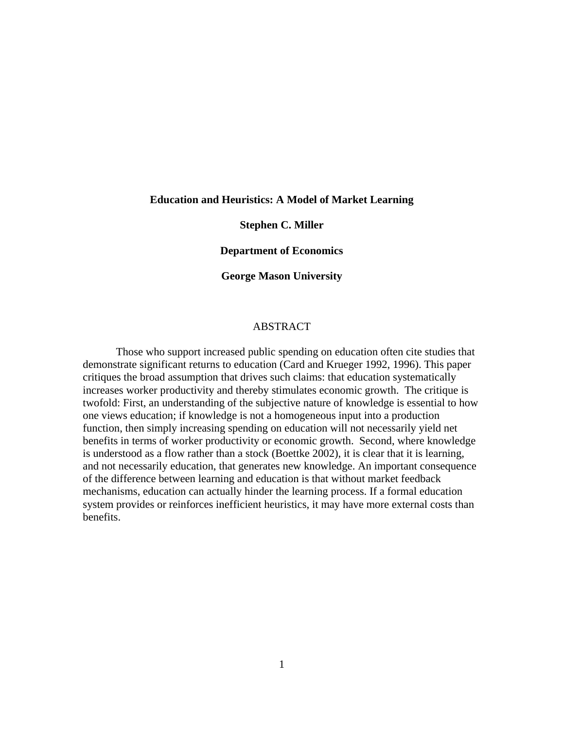#### **Education and Heuristics: A Model of Market Learning**

## **Stephen C. Miller**

#### **Department of Economics**

#### **George Mason University**

## **ABSTRACT**

 Those who support increased public spending on education often cite studies that demonstrate significant returns to education (Card and Krueger 1992, 1996). This paper critiques the broad assumption that drives such claims: that education systematically increases worker productivity and thereby stimulates economic growth. The critique is twofold: First, an understanding of the subjective nature of knowledge is essential to how one views education; if knowledge is not a homogeneous input into a production function, then simply increasing spending on education will not necessarily yield net benefits in terms of worker productivity or economic growth. Second, where knowledge is understood as a flow rather than a stock (Boettke 2002), it is clear that it is learning, and not necessarily education, that generates new knowledge. An important consequence of the difference between learning and education is that without market feedback mechanisms, education can actually hinder the learning process. If a formal education system provides or reinforces inefficient heuristics, it may have more external costs than benefits.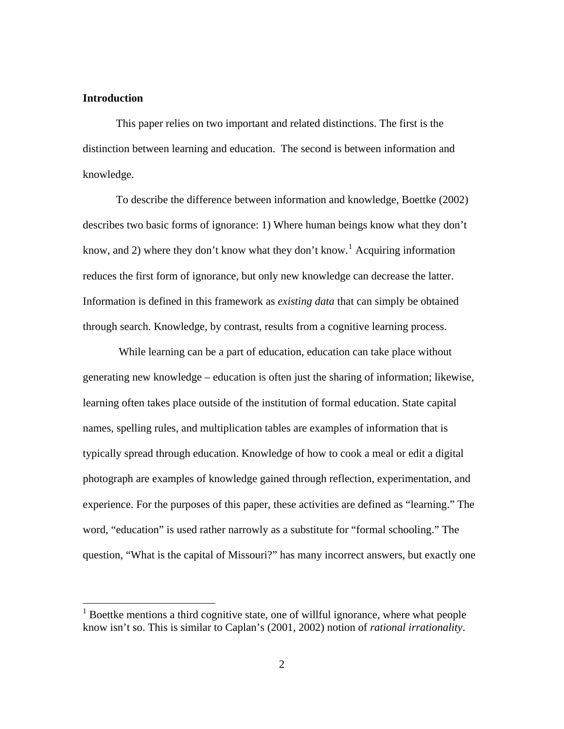## **Introduction**

 $\overline{a}$ 

This paper relies on two important and related distinctions. The first is the distinction between learning and education. The second is between information and knowledge.

To describe the difference between information and knowledge, Boettke (2002) describes two basic forms of ignorance: 1) Where human beings know what they don't know, and 2) where they don't know what they don't know.<sup>[1](#page-1-0)</sup> Acquiring information reduces the first form of ignorance, but only new knowledge can decrease the latter. Information is defined in this framework as *existing data* that can simply be obtained through search. Knowledge, by contrast, results from a cognitive learning process.

 While learning can be a part of education, education can take place without generating new knowledge – education is often just the sharing of information; likewise, learning often takes place outside of the institution of formal education. State capital names, spelling rules, and multiplication tables are examples of information that is typically spread through education. Knowledge of how to cook a meal or edit a digital photograph are examples of knowledge gained through reflection, experimentation, and experience. For the purposes of this paper, these activities are defined as "learning." The word, "education" is used rather narrowly as a substitute for "formal schooling." The question, "What is the capital of Missouri?" has many incorrect answers, but exactly one

<span id="page-1-0"></span> $1$  Boettke mentions a third cognitive state, one of willful ignorance, where what people know isn't so. This is similar to Caplan's (2001, 2002) notion of *rational irrationality*.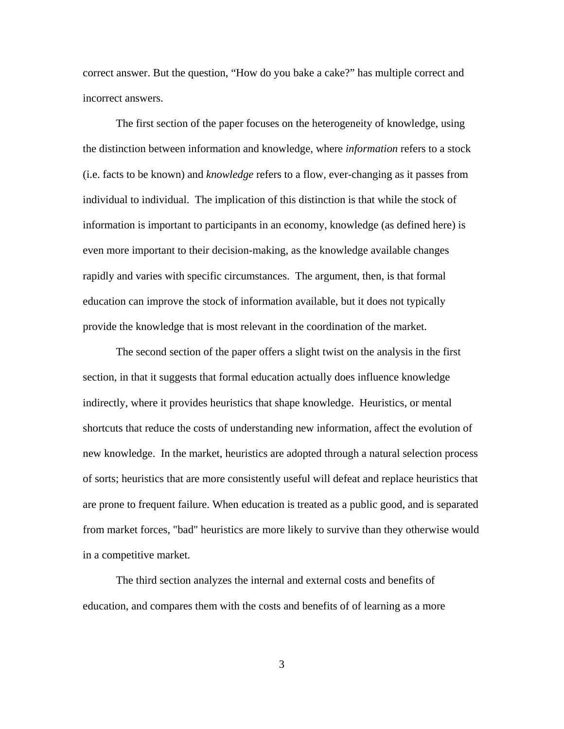correct answer. But the question, "How do you bake a cake?" has multiple correct and incorrect answers.

The first section of the paper focuses on the heterogeneity of knowledge, using the distinction between information and knowledge, where *information* refers to a stock (i.e. facts to be known) and *knowledge* refers to a flow, ever-changing as it passes from individual to individual. The implication of this distinction is that while the stock of information is important to participants in an economy, knowledge (as defined here) is even more important to their decision-making, as the knowledge available changes rapidly and varies with specific circumstances. The argument, then, is that formal education can improve the stock of information available, but it does not typically provide the knowledge that is most relevant in the coordination of the market.

The second section of the paper offers a slight twist on the analysis in the first section, in that it suggests that formal education actually does influence knowledge indirectly, where it provides heuristics that shape knowledge. Heuristics, or mental shortcuts that reduce the costs of understanding new information, affect the evolution of new knowledge. In the market, heuristics are adopted through a natural selection process of sorts; heuristics that are more consistently useful will defeat and replace heuristics that are prone to frequent failure. When education is treated as a public good, and is separated from market forces, "bad" heuristics are more likely to survive than they otherwise would in a competitive market.

The third section analyzes the internal and external costs and benefits of education, and compares them with the costs and benefits of of learning as a more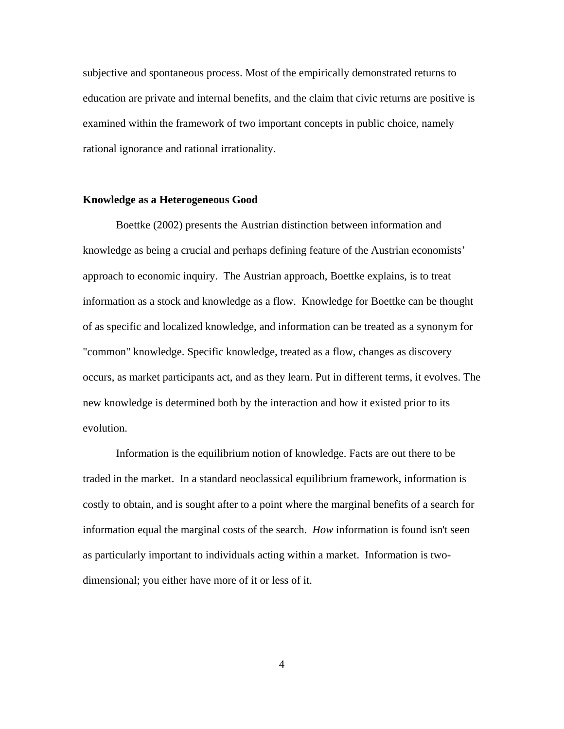subjective and spontaneous process. Most of the empirically demonstrated returns to education are private and internal benefits, and the claim that civic returns are positive is examined within the framework of two important concepts in public choice, namely rational ignorance and rational irrationality.

## **Knowledge as a Heterogeneous Good**

Boettke (2002) presents the Austrian distinction between information and knowledge as being a crucial and perhaps defining feature of the Austrian economists' approach to economic inquiry. The Austrian approach, Boettke explains, is to treat information as a stock and knowledge as a flow. Knowledge for Boettke can be thought of as specific and localized knowledge, and information can be treated as a synonym for "common" knowledge. Specific knowledge, treated as a flow, changes as discovery occurs, as market participants act, and as they learn. Put in different terms, it evolves. The new knowledge is determined both by the interaction and how it existed prior to its evolution.

 Information is the equilibrium notion of knowledge. Facts are out there to be traded in the market. In a standard neoclassical equilibrium framework, information is costly to obtain, and is sought after to a point where the marginal benefits of a search for information equal the marginal costs of the search. *How* information is found isn't seen as particularly important to individuals acting within a market. Information is twodimensional; you either have more of it or less of it.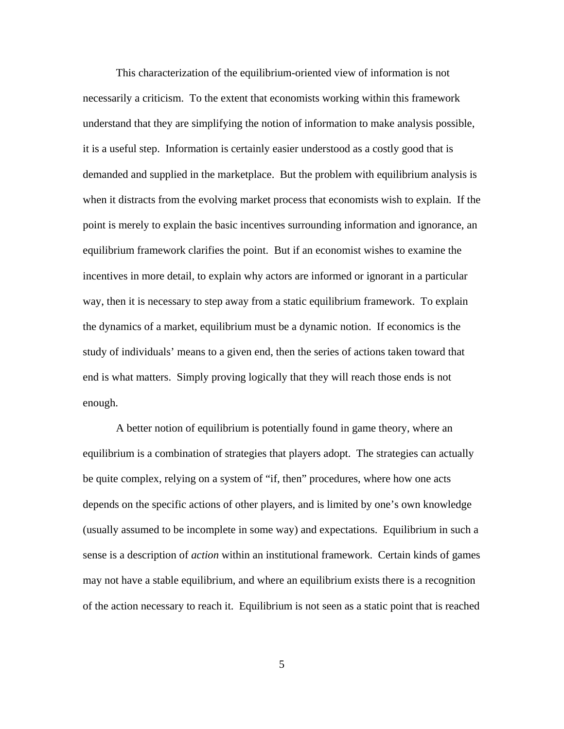This characterization of the equilibrium-oriented view of information is not necessarily a criticism. To the extent that economists working within this framework understand that they are simplifying the notion of information to make analysis possible, it is a useful step. Information is certainly easier understood as a costly good that is demanded and supplied in the marketplace. But the problem with equilibrium analysis is when it distracts from the evolving market process that economists wish to explain. If the point is merely to explain the basic incentives surrounding information and ignorance, an equilibrium framework clarifies the point. But if an economist wishes to examine the incentives in more detail, to explain why actors are informed or ignorant in a particular way, then it is necessary to step away from a static equilibrium framework. To explain the dynamics of a market, equilibrium must be a dynamic notion. If economics is the study of individuals' means to a given end, then the series of actions taken toward that end is what matters. Simply proving logically that they will reach those ends is not enough.

A better notion of equilibrium is potentially found in game theory, where an equilibrium is a combination of strategies that players adopt. The strategies can actually be quite complex, relying on a system of "if, then" procedures, where how one acts depends on the specific actions of other players, and is limited by one's own knowledge (usually assumed to be incomplete in some way) and expectations. Equilibrium in such a sense is a description of *action* within an institutional framework. Certain kinds of games may not have a stable equilibrium, and where an equilibrium exists there is a recognition of the action necessary to reach it. Equilibrium is not seen as a static point that is reached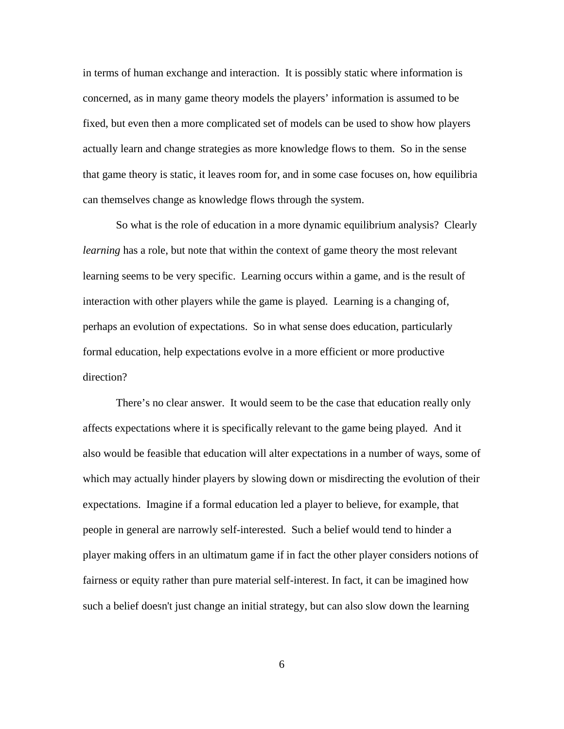in terms of human exchange and interaction. It is possibly static where information is concerned, as in many game theory models the players' information is assumed to be fixed, but even then a more complicated set of models can be used to show how players actually learn and change strategies as more knowledge flows to them. So in the sense that game theory is static, it leaves room for, and in some case focuses on, how equilibria can themselves change as knowledge flows through the system.

 So what is the role of education in a more dynamic equilibrium analysis? Clearly *learning* has a role, but note that within the context of game theory the most relevant learning seems to be very specific. Learning occurs within a game, and is the result of interaction with other players while the game is played. Learning is a changing of, perhaps an evolution of expectations. So in what sense does education, particularly formal education, help expectations evolve in a more efficient or more productive direction?

There's no clear answer. It would seem to be the case that education really only affects expectations where it is specifically relevant to the game being played. And it also would be feasible that education will alter expectations in a number of ways, some of which may actually hinder players by slowing down or misdirecting the evolution of their expectations. Imagine if a formal education led a player to believe, for example, that people in general are narrowly self-interested. Such a belief would tend to hinder a player making offers in an ultimatum game if in fact the other player considers notions of fairness or equity rather than pure material self-interest. In fact, it can be imagined how such a belief doesn't just change an initial strategy, but can also slow down the learning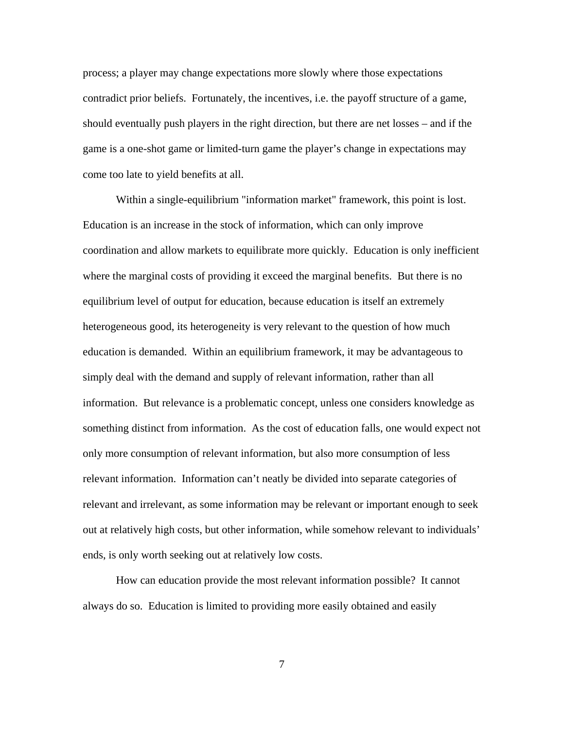process; a player may change expectations more slowly where those expectations contradict prior beliefs. Fortunately, the incentives, i.e. the payoff structure of a game, should eventually push players in the right direction, but there are net losses – and if the game is a one-shot game or limited-turn game the player's change in expectations may come too late to yield benefits at all.

 Within a single-equilibrium "information market" framework, this point is lost. Education is an increase in the stock of information, which can only improve coordination and allow markets to equilibrate more quickly. Education is only inefficient where the marginal costs of providing it exceed the marginal benefits. But there is no equilibrium level of output for education, because education is itself an extremely heterogeneous good, its heterogeneity is very relevant to the question of how much education is demanded. Within an equilibrium framework, it may be advantageous to simply deal with the demand and supply of relevant information, rather than all information. But relevance is a problematic concept, unless one considers knowledge as something distinct from information. As the cost of education falls, one would expect not only more consumption of relevant information, but also more consumption of less relevant information. Information can't neatly be divided into separate categories of relevant and irrelevant, as some information may be relevant or important enough to seek out at relatively high costs, but other information, while somehow relevant to individuals' ends, is only worth seeking out at relatively low costs.

 How can education provide the most relevant information possible? It cannot always do so. Education is limited to providing more easily obtained and easily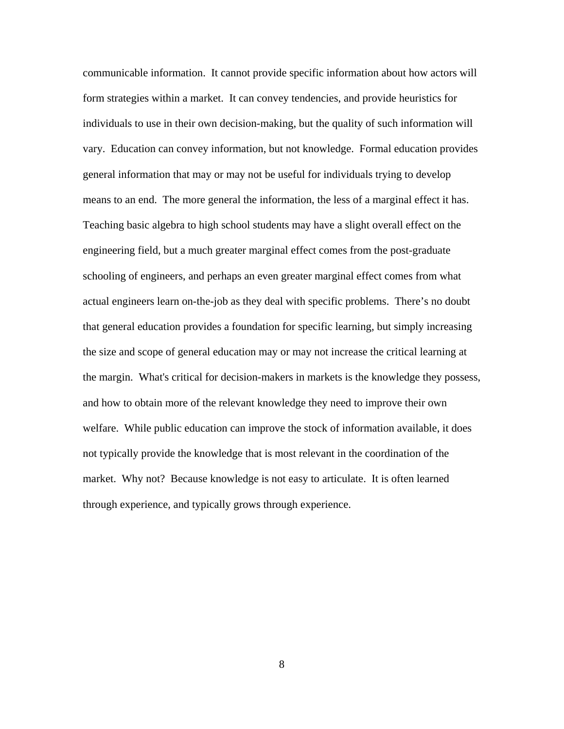communicable information. It cannot provide specific information about how actors will form strategies within a market. It can convey tendencies, and provide heuristics for individuals to use in their own decision-making, but the quality of such information will vary. Education can convey information, but not knowledge. Formal education provides general information that may or may not be useful for individuals trying to develop means to an end. The more general the information, the less of a marginal effect it has. Teaching basic algebra to high school students may have a slight overall effect on the engineering field, but a much greater marginal effect comes from the post-graduate schooling of engineers, and perhaps an even greater marginal effect comes from what actual engineers learn on-the-job as they deal with specific problems. There's no doubt that general education provides a foundation for specific learning, but simply increasing the size and scope of general education may or may not increase the critical learning at the margin. What's critical for decision-makers in markets is the knowledge they possess, and how to obtain more of the relevant knowledge they need to improve their own welfare. While public education can improve the stock of information available, it does not typically provide the knowledge that is most relevant in the coordination of the market. Why not? Because knowledge is not easy to articulate. It is often learned through experience, and typically grows through experience.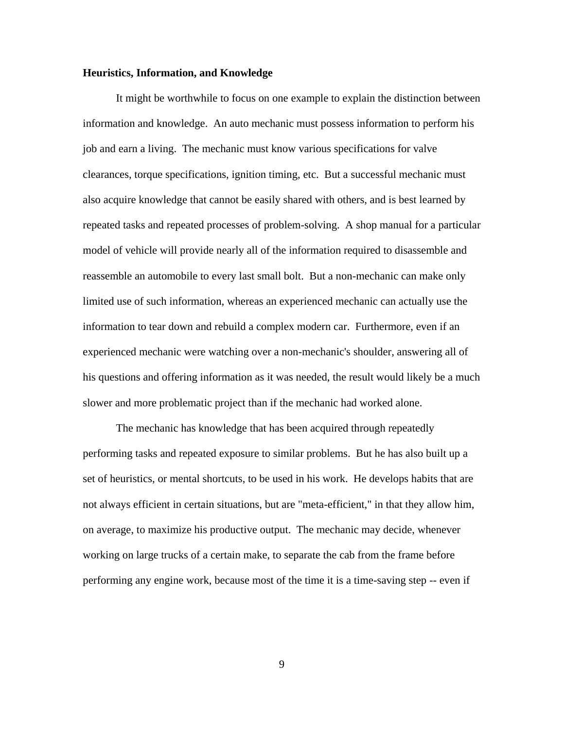#### **Heuristics, Information, and Knowledge**

It might be worthwhile to focus on one example to explain the distinction between information and knowledge. An auto mechanic must possess information to perform his job and earn a living. The mechanic must know various specifications for valve clearances, torque specifications, ignition timing, etc. But a successful mechanic must also acquire knowledge that cannot be easily shared with others, and is best learned by repeated tasks and repeated processes of problem-solving. A shop manual for a particular model of vehicle will provide nearly all of the information required to disassemble and reassemble an automobile to every last small bolt. But a non-mechanic can make only limited use of such information, whereas an experienced mechanic can actually use the information to tear down and rebuild a complex modern car. Furthermore, even if an experienced mechanic were watching over a non-mechanic's shoulder, answering all of his questions and offering information as it was needed, the result would likely be a much slower and more problematic project than if the mechanic had worked alone.

 The mechanic has knowledge that has been acquired through repeatedly performing tasks and repeated exposure to similar problems. But he has also built up a set of heuristics, or mental shortcuts, to be used in his work. He develops habits that are not always efficient in certain situations, but are "meta-efficient," in that they allow him, on average, to maximize his productive output. The mechanic may decide, whenever working on large trucks of a certain make, to separate the cab from the frame before performing any engine work, because most of the time it is a time-saving step -- even if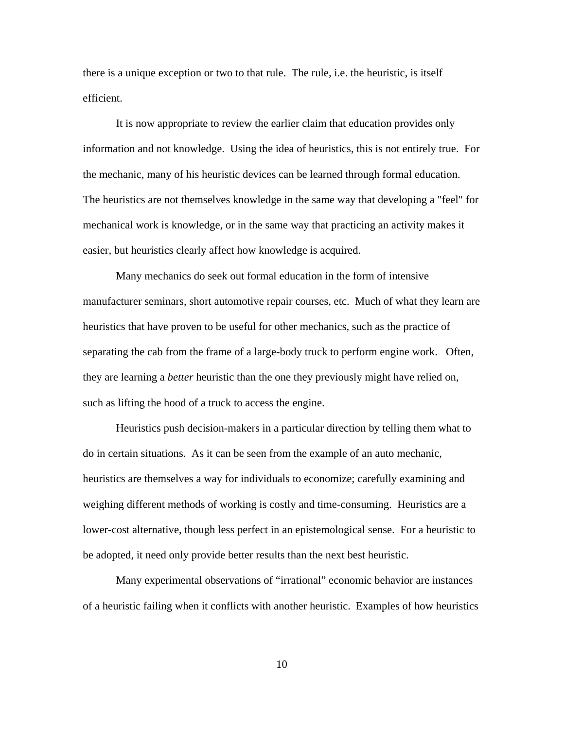there is a unique exception or two to that rule. The rule, i.e. the heuristic, is itself efficient.

 It is now appropriate to review the earlier claim that education provides only information and not knowledge. Using the idea of heuristics, this is not entirely true. For the mechanic, many of his heuristic devices can be learned through formal education. The heuristics are not themselves knowledge in the same way that developing a "feel" for mechanical work is knowledge, or in the same way that practicing an activity makes it easier, but heuristics clearly affect how knowledge is acquired.

 Many mechanics do seek out formal education in the form of intensive manufacturer seminars, short automotive repair courses, etc. Much of what they learn are heuristics that have proven to be useful for other mechanics, such as the practice of separating the cab from the frame of a large-body truck to perform engine work. Often, they are learning a *better* heuristic than the one they previously might have relied on, such as lifting the hood of a truck to access the engine.

Heuristics push decision-makers in a particular direction by telling them what to do in certain situations. As it can be seen from the example of an auto mechanic, heuristics are themselves a way for individuals to economize; carefully examining and weighing different methods of working is costly and time-consuming. Heuristics are a lower-cost alternative, though less perfect in an epistemological sense. For a heuristic to be adopted, it need only provide better results than the next best heuristic.

Many experimental observations of "irrational" economic behavior are instances of a heuristic failing when it conflicts with another heuristic. Examples of how heuristics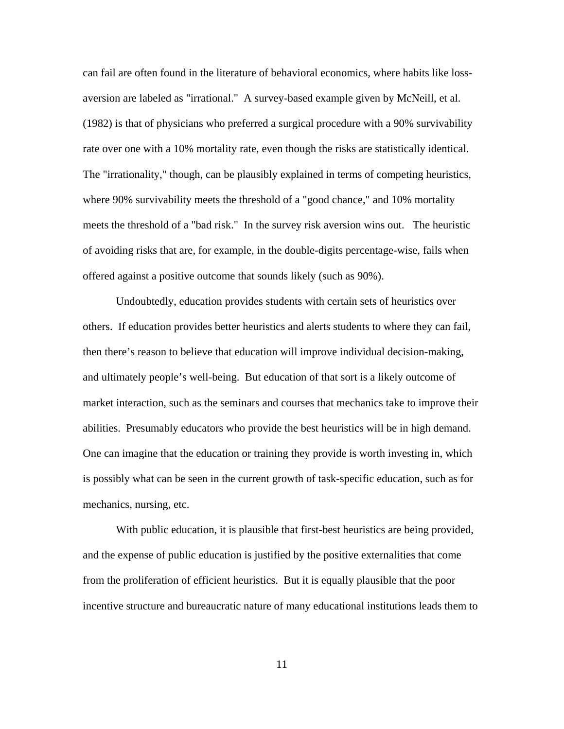can fail are often found in the literature of behavioral economics, where habits like lossaversion are labeled as "irrational." A survey-based example given by McNeill, et al. (1982) is that of physicians who preferred a surgical procedure with a 90% survivability rate over one with a 10% mortality rate, even though the risks are statistically identical. The "irrationality," though, can be plausibly explained in terms of competing heuristics, where 90% survivability meets the threshold of a "good chance," and 10% mortality meets the threshold of a "bad risk." In the survey risk aversion wins out. The heuristic of avoiding risks that are, for example, in the double-digits percentage-wise, fails when offered against a positive outcome that sounds likely (such as 90%).

Undoubtedly, education provides students with certain sets of heuristics over others. If education provides better heuristics and alerts students to where they can fail, then there's reason to believe that education will improve individual decision-making, and ultimately people's well-being. But education of that sort is a likely outcome of market interaction, such as the seminars and courses that mechanics take to improve their abilities. Presumably educators who provide the best heuristics will be in high demand. One can imagine that the education or training they provide is worth investing in, which is possibly what can be seen in the current growth of task-specific education, such as for mechanics, nursing, etc.

With public education, it is plausible that first-best heuristics are being provided, and the expense of public education is justified by the positive externalities that come from the proliferation of efficient heuristics. But it is equally plausible that the poor incentive structure and bureaucratic nature of many educational institutions leads them to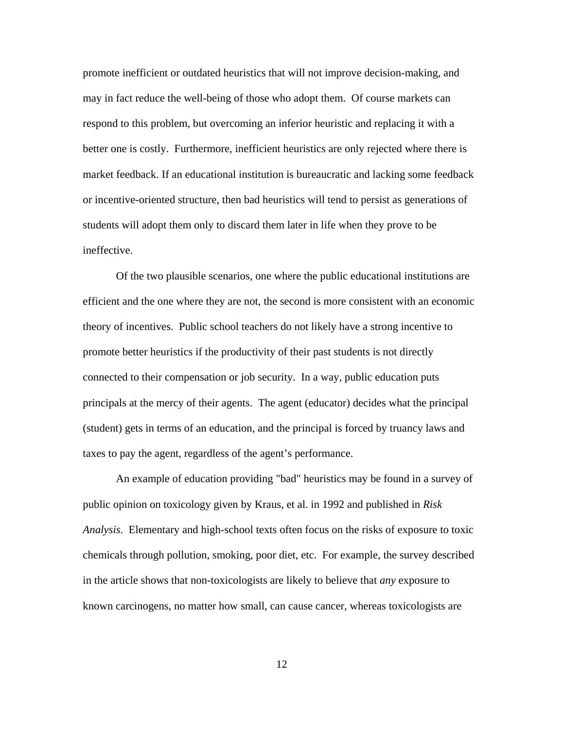promote inefficient or outdated heuristics that will not improve decision-making, and may in fact reduce the well-being of those who adopt them. Of course markets can respond to this problem, but overcoming an inferior heuristic and replacing it with a better one is costly. Furthermore, inefficient heuristics are only rejected where there is market feedback. If an educational institution is bureaucratic and lacking some feedback or incentive-oriented structure, then bad heuristics will tend to persist as generations of students will adopt them only to discard them later in life when they prove to be ineffective.

Of the two plausible scenarios, one where the public educational institutions are efficient and the one where they are not, the second is more consistent with an economic theory of incentives. Public school teachers do not likely have a strong incentive to promote better heuristics if the productivity of their past students is not directly connected to their compensation or job security. In a way, public education puts principals at the mercy of their agents. The agent (educator) decides what the principal (student) gets in terms of an education, and the principal is forced by truancy laws and taxes to pay the agent, regardless of the agent's performance.

An example of education providing "bad" heuristics may be found in a survey of public opinion on toxicology given by Kraus, et al. in 1992 and published in *Risk Analysis*. Elementary and high-school texts often focus on the risks of exposure to toxic chemicals through pollution, smoking, poor diet, etc. For example, the survey described in the article shows that non-toxicologists are likely to believe that *any* exposure to known carcinogens, no matter how small, can cause cancer, whereas toxicologists are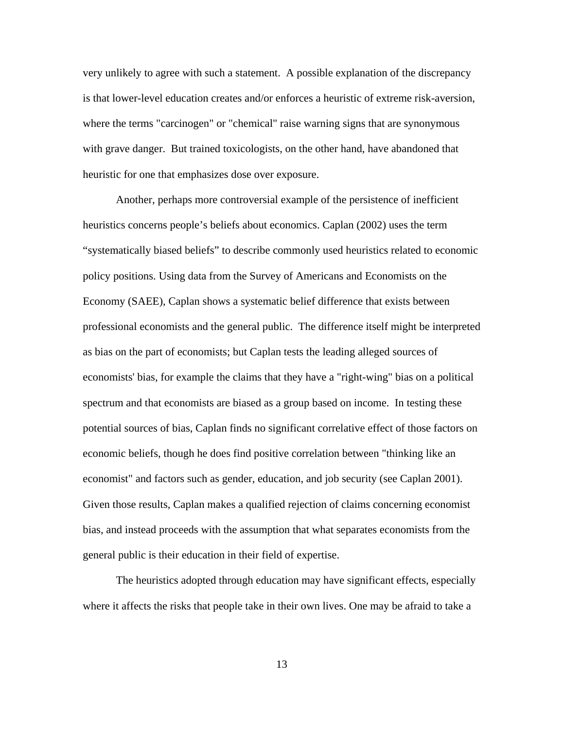very unlikely to agree with such a statement. A possible explanation of the discrepancy is that lower-level education creates and/or enforces a heuristic of extreme risk-aversion, where the terms "carcinogen" or "chemical" raise warning signs that are synonymous with grave danger. But trained toxicologists, on the other hand, have abandoned that heuristic for one that emphasizes dose over exposure.

Another, perhaps more controversial example of the persistence of inefficient heuristics concerns people's beliefs about economics. Caplan (2002) uses the term "systematically biased beliefs" to describe commonly used heuristics related to economic policy positions. Using data from the Survey of Americans and Economists on the Economy (SAEE), Caplan shows a systematic belief difference that exists between professional economists and the general public. The difference itself might be interpreted as bias on the part of economists; but Caplan tests the leading alleged sources of economists' bias, for example the claims that they have a "right-wing" bias on a political spectrum and that economists are biased as a group based on income. In testing these potential sources of bias, Caplan finds no significant correlative effect of those factors on economic beliefs, though he does find positive correlation between "thinking like an economist" and factors such as gender, education, and job security (see Caplan 2001). Given those results, Caplan makes a qualified rejection of claims concerning economist bias, and instead proceeds with the assumption that what separates economists from the general public is their education in their field of expertise.

The heuristics adopted through education may have significant effects, especially where it affects the risks that people take in their own lives. One may be afraid to take a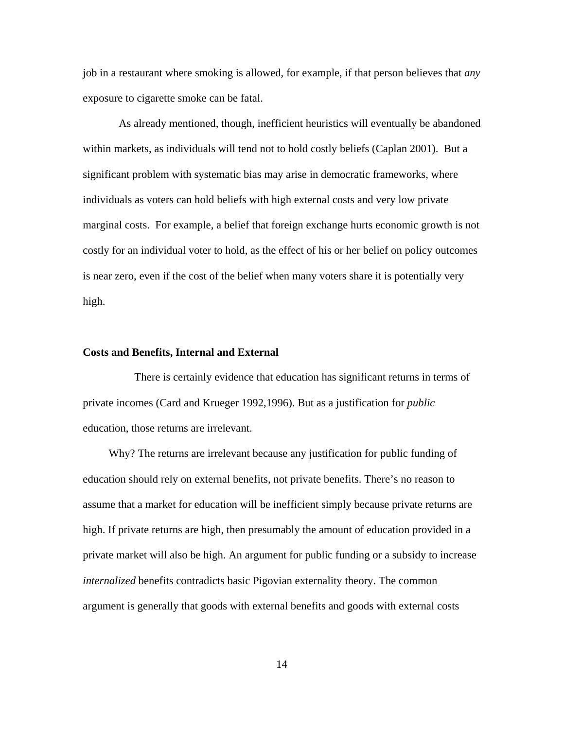job in a restaurant where smoking is allowed, for example, if that person believes that *any*  exposure to cigarette smoke can be fatal.

 As already mentioned, though, inefficient heuristics will eventually be abandoned within markets, as individuals will tend not to hold costly beliefs (Caplan 2001). But a significant problem with systematic bias may arise in democratic frameworks, where individuals as voters can hold beliefs with high external costs and very low private marginal costs. For example, a belief that foreign exchange hurts economic growth is not costly for an individual voter to hold, as the effect of his or her belief on policy outcomes is near zero, even if the cost of the belief when many voters share it is potentially very high.

#### **Costs and Benefits, Internal and External**

 There is certainly evidence that education has significant returns in terms of private incomes (Card and Krueger 1992,1996). But as a justification for *public* education, those returns are irrelevant.

 Why? The returns are irrelevant because any justification for public funding of education should rely on external benefits, not private benefits. There's no reason to assume that a market for education will be inefficient simply because private returns are high. If private returns are high, then presumably the amount of education provided in a private market will also be high. An argument for public funding or a subsidy to increase *internalized* benefits contradicts basic Pigovian externality theory. The common argument is generally that goods with external benefits and goods with external costs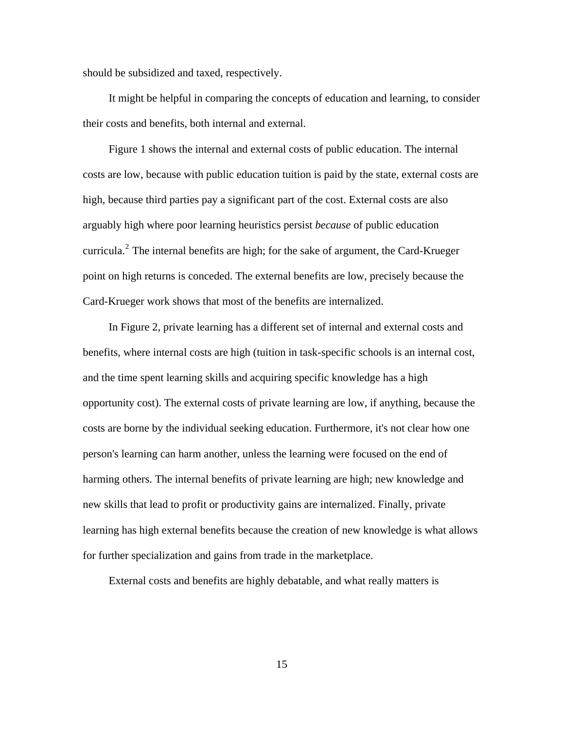should be subsidized and taxed, respectively.

 It might be helpful in comparing the concepts of education and learning, to consider their costs and benefits, both internal and external.

 Figure 1 shows the internal and external costs of public education. The internal costs are low, because with public education tuition is paid by the state, external costs are high, because third parties pay a significant part of the cost. External costs are also arguably high where poor learning heuristics persist *because* of public education curricula.<sup>[2](#page-14-0)</sup> The internal benefits are high; for the sake of argument, the Card-Krueger point on high returns is conceded. The external benefits are low, precisely because the Card-Krueger work shows that most of the benefits are internalized.

 In Figure 2, private learning has a different set of internal and external costs and benefits, where internal costs are high (tuition in task-specific schools is an internal cost, and the time spent learning skills and acquiring specific knowledge has a high opportunity cost). The external costs of private learning are low, if anything, because the costs are borne by the individual seeking education. Furthermore, it's not clear how one person's learning can harm another, unless the learning were focused on the end of harming others. The internal benefits of private learning are high; new knowledge and new skills that lead to profit or productivity gains are internalized. Finally, private learning has high external benefits because the creation of new knowledge is what allows for further specialization and gains from trade in the marketplace.

<span id="page-14-0"></span>External costs and benefits are highly debatable, and what really matters is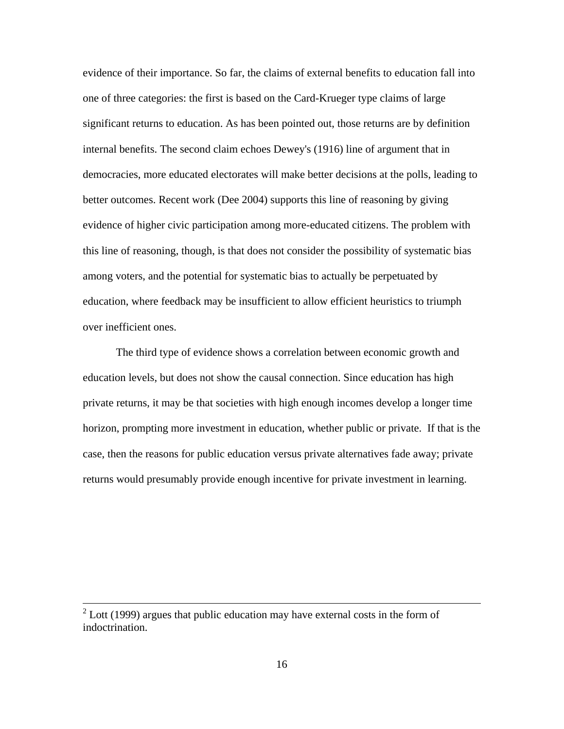evidence of their importance. So far, the claims of external benefits to education fall into one of three categories: the first is based on the Card-Krueger type claims of large significant returns to education. As has been pointed out, those returns are by definition internal benefits. The second claim echoes Dewey's (1916) line of argument that in democracies, more educated electorates will make better decisions at the polls, leading to better outcomes. Recent work (Dee 2004) supports this line of reasoning by giving evidence of higher civic participation among more-educated citizens. The problem with this line of reasoning, though, is that does not consider the possibility of systematic bias among voters, and the potential for systematic bias to actually be perpetuated by education, where feedback may be insufficient to allow efficient heuristics to triumph over inefficient ones.

 The third type of evidence shows a correlation between economic growth and education levels, but does not show the causal connection. Since education has high private returns, it may be that societies with high enough incomes develop a longer time horizon, prompting more investment in education, whether public or private. If that is the case, then the reasons for public education versus private alternatives fade away; private returns would presumably provide enough incentive for private investment in learning.

 $2^2$  Lott (1999) argues that public education may have external costs in the form of indoctrination.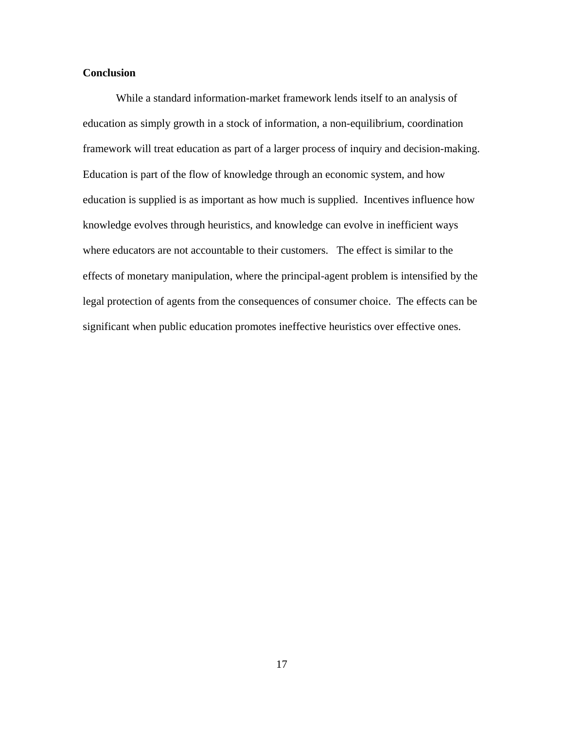## **Conclusion**

 While a standard information-market framework lends itself to an analysis of education as simply growth in a stock of information, a non-equilibrium, coordination framework will treat education as part of a larger process of inquiry and decision-making. Education is part of the flow of knowledge through an economic system, and how education is supplied is as important as how much is supplied. Incentives influence how knowledge evolves through heuristics, and knowledge can evolve in inefficient ways where educators are not accountable to their customers. The effect is similar to the effects of monetary manipulation, where the principal-agent problem is intensified by the legal protection of agents from the consequences of consumer choice. The effects can be significant when public education promotes ineffective heuristics over effective ones.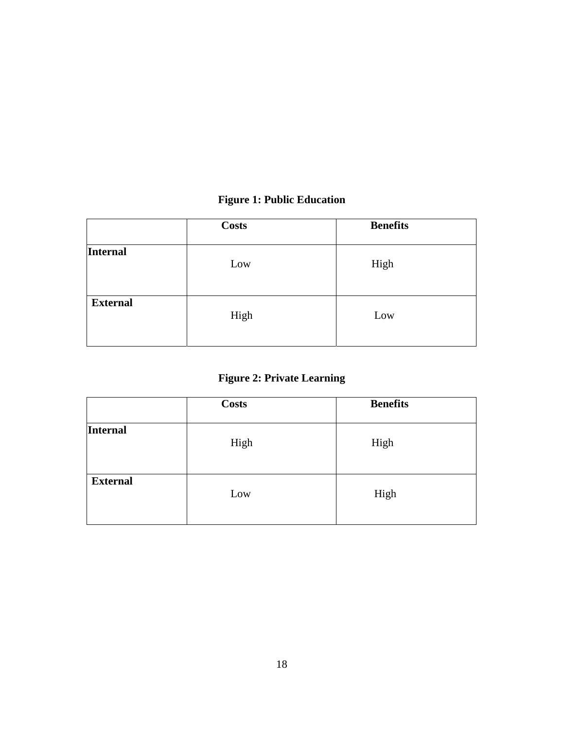# **Figure 1: Public Education**

|                 | <b>Costs</b> | <b>Benefits</b> |
|-----------------|--------------|-----------------|
| Internal        | Low          | High            |
| <b>External</b> | High         | Low             |

## **Figure 2: Private Learning**

|                 | <b>Costs</b> | <b>Benefits</b> |
|-----------------|--------------|-----------------|
| Internal        | High         | High            |
| <b>External</b> | Low          | High            |